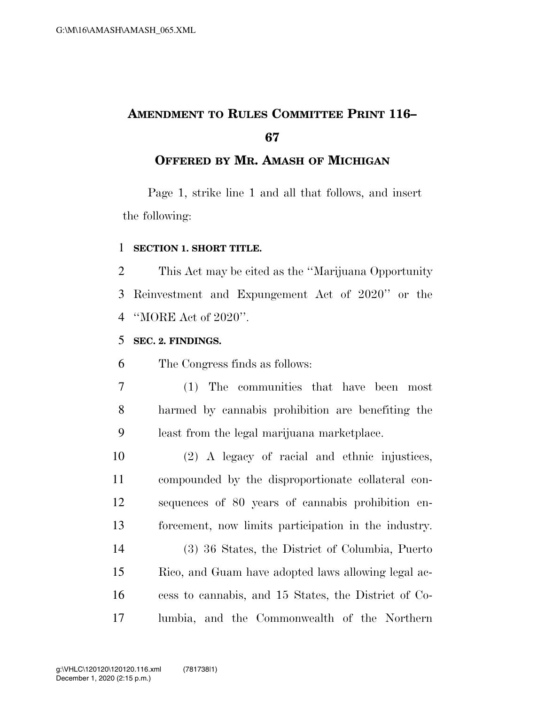# **AMENDMENT TO RULES COMMITTEE PRINT 116–**

#### **OFFERED BY MR. AMASH OF MICHIGAN**

Page 1, strike line 1 and all that follows, and insert the following:

#### **SECTION 1. SHORT TITLE.**

 This Act may be cited as the ''Marijuana Opportunity Reinvestment and Expungement Act of 2020'' or the ''MORE Act of 2020''.

#### **SEC. 2. FINDINGS.**

The Congress finds as follows:

- (1) The communities that have been most harmed by cannabis prohibition are benefiting the least from the legal marijuana marketplace.
- (2) A legacy of racial and ethnic injustices, compounded by the disproportionate collateral con- sequences of 80 years of cannabis prohibition en-forcement, now limits participation in the industry.
- (3) 36 States, the District of Columbia, Puerto Rico, and Guam have adopted laws allowing legal ac- cess to cannabis, and 15 States, the District of Co-lumbia, and the Commonwealth of the Northern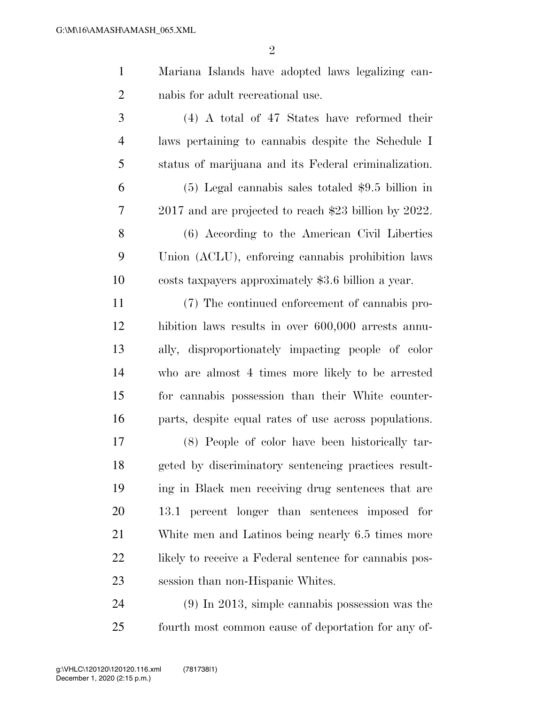$\mathfrak{D}$ 

 Mariana Islands have adopted laws legalizing can-nabis for adult recreational use.

 (4) A total of 47 States have reformed their laws pertaining to cannabis despite the Schedule I status of marijuana and its Federal criminalization.

 (5) Legal cannabis sales totaled \$9.5 billion in 2017 and are projected to reach \$23 billion by 2022.

 (6) According to the American Civil Liberties Union (ACLU), enforcing cannabis prohibition laws costs taxpayers approximately \$3.6 billion a year.

 (7) The continued enforcement of cannabis pro- hibition laws results in over 600,000 arrests annu- ally, disproportionately impacting people of color who are almost 4 times more likely to be arrested for cannabis possession than their White counter-parts, despite equal rates of use across populations.

 (8) People of color have been historically tar- geted by discriminatory sentencing practices result- ing in Black men receiving drug sentences that are 13.1 percent longer than sentences imposed for White men and Latinos being nearly 6.5 times more 22 likely to receive a Federal sentence for cannabis pos-session than non-Hispanic Whites.

 (9) In 2013, simple cannabis possession was the fourth most common cause of deportation for any of-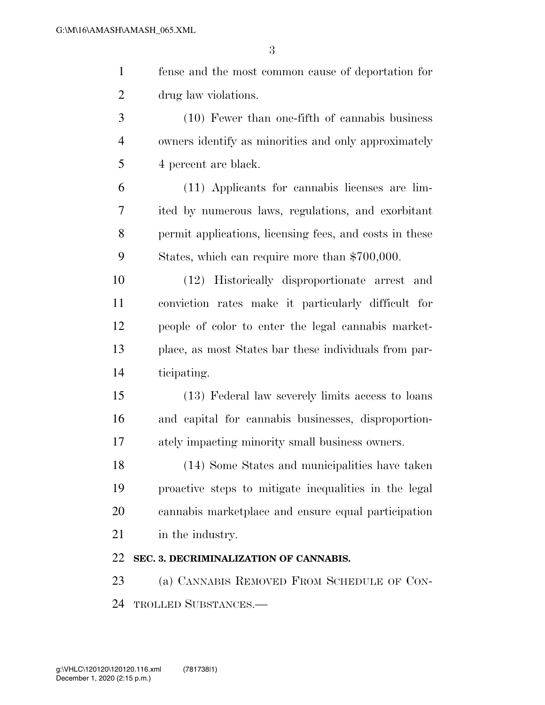| $\mathbf{1}$   | fense and the most common cause of deportation for      |
|----------------|---------------------------------------------------------|
| $\overline{2}$ | drug law violations.                                    |
| 3              | $(10)$ Fewer than one-fifth of cannabis business        |
| $\overline{4}$ | owners identify as minorities and only approximately    |
| 5              | 4 percent are black.                                    |
| 6              | (11) Applicants for cannabis licenses are lim-          |
| 7              | ited by numerous laws, regulations, and exorbitant      |
| 8              | permit applications, licensing fees, and costs in these |
| 9              | States, which can require more than \$700,000.          |
| 10             | (12) Historically disproportionate arrest and           |
| 11             | conviction rates make it particularly difficult for     |
| 12             | people of color to enter the legal cannabis market-     |
| 13             | place, as most States bar these individuals from par-   |
| 14             | ticipating.                                             |
| 15             | (13) Federal law severely limits access to loans        |
| 16             | and capital for cannabis businesses, disproportion-     |
| 17             | ately impacting minority small business owners.         |
| 18             | (14) Some States and municipalities have taken          |
| 19             | proactive steps to mitigate inequalities in the legal   |
| 20             | cannabis marketplace and ensure equal participation     |
| 21             | in the industry.                                        |
| 22             | SEC. 3. DECRIMINALIZATION OF CANNABIS.                  |
| 23             | (a) CANNABIS REMOVED FROM SCHEDULE OF CON-              |
| 24             | <b>TROLLED SUBSTANCES.—</b>                             |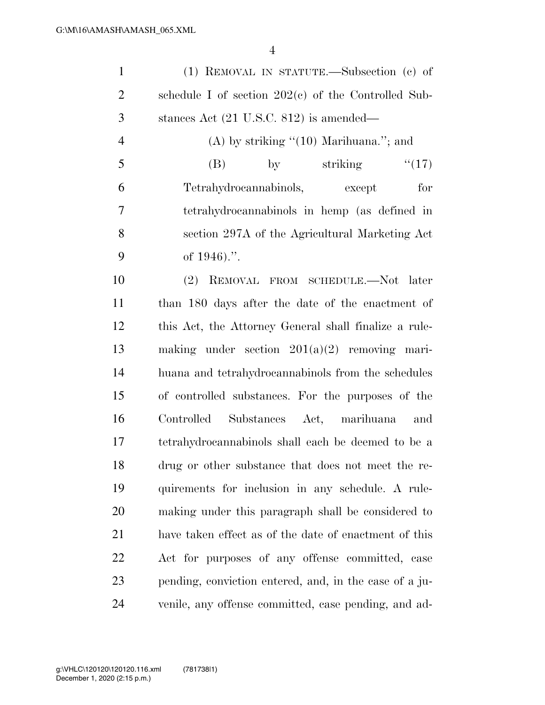| $\mathbf{1}$   | (1) REMOVAL IN STATUTE.—Subsection (c) of              |
|----------------|--------------------------------------------------------|
| $\overline{2}$ | schedule I of section $202(e)$ of the Controlled Sub-  |
| 3              | stances Act (21 U.S.C. 812) is amended—                |
| $\overline{4}$ | $(A)$ by striking " $(10)$ Marihuana."; and            |
| 5              | striking<br>``(17)<br>(B)<br>$\mathbf{by}$             |
| 6              | Tetrahydrocannabinols, except<br>for                   |
| 7              | tetrahydrocannabinols in hemp (as defined in           |
| 8              | section 297A of the Agricultural Marketing Act         |
| 9              | of $1946$ .".                                          |
| 10             | REMOVAL FROM SCHEDULE.—Not later<br>(2)                |
| 11             | than 180 days after the date of the enactment of       |
| 12             | this Act, the Attorney General shall finalize a rule-  |
| 13             | making under section $201(a)(2)$ removing mari-        |
| 14             | huana and tetrahydrocannabinols from the schedules     |
| 15             | of controlled substances. For the purposes of the      |
| 16             | Controlled Substances Act, marihuana<br>and            |
| 17             | tetrahydrocannabinols shall each be deemed to be a     |
| 18             | drug or other substance that does not meet the re-     |
| 19             | quirements for inclusion in any schedule. A rule-      |
| <b>20</b>      | making under this paragraph shall be considered to     |
| 21             | have taken effect as of the date of enactment of this  |
| 22             | Act for purposes of any offense committed, case        |
| 23             | pending, conviction entered, and, in the case of a ju- |
| 24             | venile, any offense committed, case pending, and ad-   |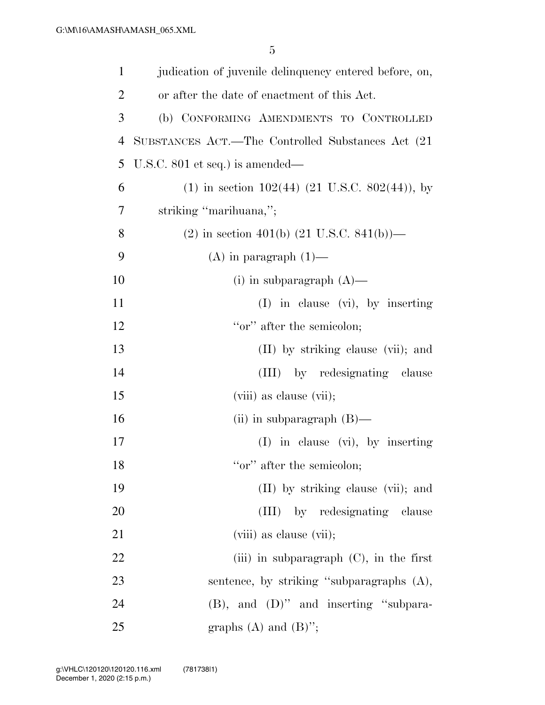| $\mathbf{1}$   | judication of juvenile delinquency entered before, on,  |
|----------------|---------------------------------------------------------|
| $\overline{2}$ | or after the date of enactment of this Act.             |
| 3              | (b) CONFORMING AMENDMENTS TO CONTROLLED                 |
| 4              | SUBSTANCES ACT.—The Controlled Substances Act (21)      |
| 5              | U.S.C. $801$ et seq.) is amended—                       |
| 6              | $(1)$ in section 102(44) (21 U.S.C. 802(44)), by        |
| 7              | striking "marihuana,";                                  |
| 8              | $(2)$ in section 401(b) $(21 \text{ U.S.C. } 841(b))$ — |
| 9              | $(A)$ in paragraph $(1)$ —                              |
| 10             | (i) in subparagraph $(A)$ —                             |
| 11             | $(I)$ in clause $(vi)$ , by inserting                   |
| 12             | "or" after the semicolon;                               |
| 13             | (II) by striking clause (vii); and                      |
| 14             | (III) by redesignating clause                           |
| 15             | (viii) as clause (vii);                                 |
| 16             | (ii) in subparagraph $(B)$ —                            |
| 17             | $(I)$ in clause $(vi)$ , by inserting                   |
| 18             | "or" after the semicolon;                               |
| 19             | (II) by striking clause (vii); and                      |
| 20             | by redesignating clause<br>(III)                        |
| 21             | (viii) as clause (vii);                                 |
| 22             | (iii) in subparagraph $(C)$ , in the first              |
| 23             | sentence, by striking "subparagraphs (A),               |
| 24             | $(B)$ , and $(D)$ " and inserting "subpara-             |
| 25             | graphs $(A)$ and $(B)$ ";                               |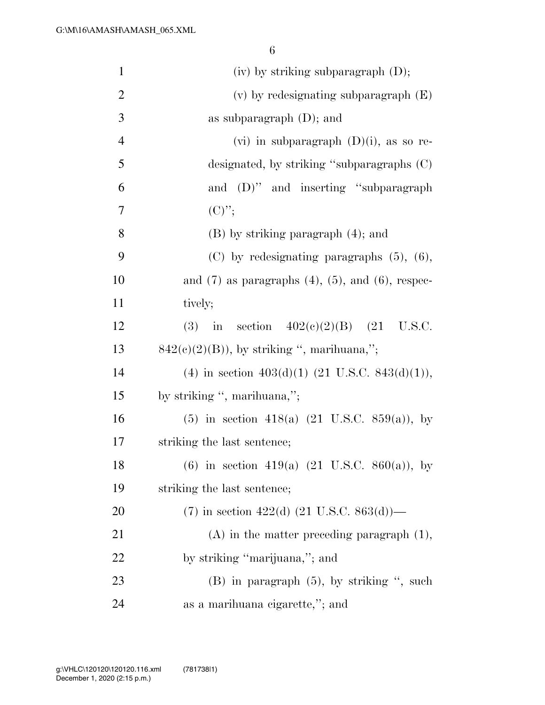| $\mathbf{1}$   | $(iv)$ by striking subparagraph $(D)$ ;                     |
|----------------|-------------------------------------------------------------|
| $\overline{2}$ | $(v)$ by redesignating subparagraph $(E)$                   |
| 3              | as subparagraph $(D)$ ; and                                 |
| $\overline{4}$ | (vi) in subparagraph $(D)(i)$ , as so re-                   |
| 5              | designated, by striking "subparagraphs (C)                  |
| 6              | and (D)" and inserting "subparagraph                        |
| 7              | $(C)$ ";                                                    |
| 8              | $(B)$ by striking paragraph $(4)$ ; and                     |
| 9              | $(C)$ by redesignating paragraphs $(5)$ , $(6)$ ,           |
| 10             | and $(7)$ as paragraphs $(4)$ , $(5)$ , and $(6)$ , respec- |
| 11             | tively;                                                     |
| 12             | in section $402(e)(2)(B)$ (21 U.S.C.<br>(3)                 |
| 13             | $842(c)(2)(B)$ , by striking ", marihuana,";                |
| 14             | (4) in section $403(d)(1)$ (21 U.S.C. 843(d)(1)),           |
| 15             | by striking ", marihuana,";                                 |
| 16             | (5) in section 418(a) $(21 \text{ U.S.C. } 859(a))$ , by    |
| $17\,$         | striking the last sentence;                                 |
| 18             | (6) in section 419(a) $(21 \text{ U.S.C. } 860(a))$ , by    |
| 19             | striking the last sentence;                                 |
| 20             | $(7)$ in section 422(d) (21 U.S.C. 863(d))—                 |
| 21             | $(A)$ in the matter preceding paragraph $(1)$ ,             |
| 22             | by striking "marijuana,"; and                               |
| 23             | $(B)$ in paragraph $(5)$ , by striking ", such              |
| 24             | as a marihuana eigarette,"; and                             |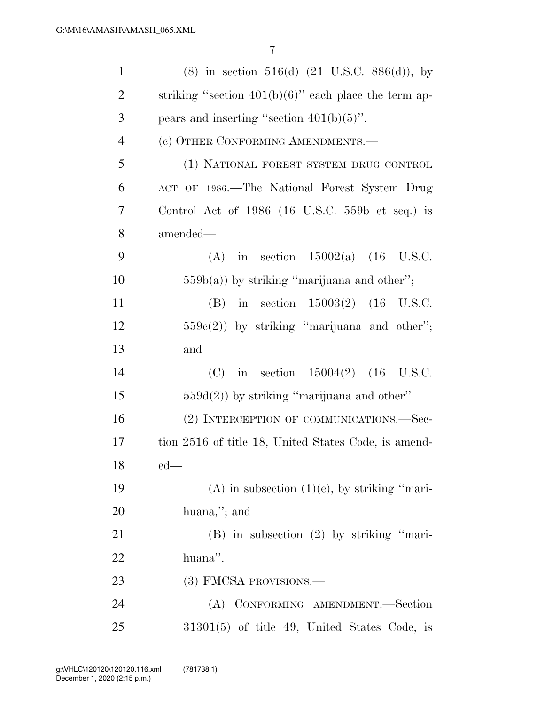| $\mathbf{1}$   | $(8)$ in section 516(d) $(21 \text{ U.S.C. } 886(d))$ , by |
|----------------|------------------------------------------------------------|
| $\overline{2}$ | striking "section $401(b)(6)$ " each place the term ap-    |
| 3              | pears and inserting "section $401(b)(5)$ ".                |
| $\overline{4}$ | (c) OTHER CONFORMING AMENDMENTS.—                          |
| 5              | (1) NATIONAL FOREST SYSTEM DRUG CONTROL                    |
| 6              | ACT OF 1986.—The National Forest System Drug               |
| 7              | Control Act of $1986$ (16 U.S.C. 559b et seq.) is          |
| 8              | amended—                                                   |
| 9              | in section $15002(a)$ (16 U.S.C.<br>(A)                    |
| 10             | $559b(a)$ ) by striking "marijuana and other";             |
| 11             | in section $15003(2)$ (16 U.S.C.<br>(B)                    |
| 12             | $559e(2)$ ) by striking "marijuana and other";             |
| 13             | and                                                        |
| 14             | (C) in section $15004(2)$ (16 U.S.C.                       |
| 15             | $559d(2)$ ) by striking "marijuana and other".             |
| 16             | (2) INTERCEPTION OF COMMUNICATIONS.-Sec-                   |
| 17             | tion 2516 of title 18, United States Code, is amend-       |
| 18             | $ed$ —                                                     |
| 19             | $(A)$ in subsection $(1)(e)$ , by striking "mari-          |
| 20             | huana,"; and                                               |
| 21             | $(B)$ in subsection $(2)$ by striking "mari-               |
| 22             | huana".                                                    |
| 23             | (3) FMCSA PROVISIONS.—                                     |
| 24             | CONFORMING AMENDMENT.-Section<br>(A)                       |
| 25             | 31301(5) of title 49, United States Code, is               |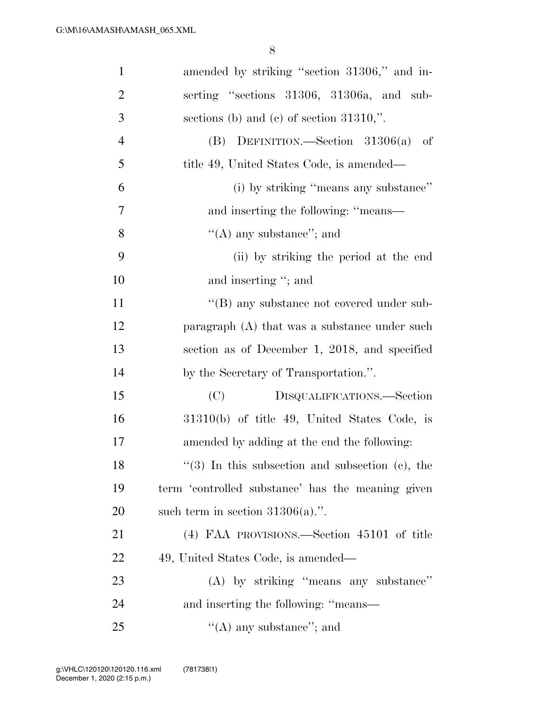| $\mathbf{1}$   | amended by striking "section 31306," and in-      |
|----------------|---------------------------------------------------|
| $\overline{2}$ | serting "sections 31306, 31306a, and sub-         |
| 3              | sections (b) and (c) of section $31310$ ,".       |
| $\overline{4}$ | (B) DEFINITION.—Section $31306(a)$<br>-of         |
| 5              | title 49, United States Code, is amended—         |
| 6              | (i) by striking "means any substance"             |
| 7              | and inserting the following: "means—              |
| $8\,$          | "(A) any substance"; and                          |
| 9              | (ii) by striking the period at the end            |
| 10             | and inserting "; and                              |
| 11             | "(B) any substance not covered under sub-         |
| 12             | paragraph (A) that was a substance under such     |
| 13             | section as of December 1, 2018, and specified     |
| 14             | by the Secretary of Transportation.".             |
| 15             | (C)<br>DISQUALIFICATIONS.—Section                 |
| 16             | 31310(b) of title 49, United States Code, is      |
| 17             | amended by adding at the end the following:       |
| 18             | $(3)$ In this subsection and subsection (c), the  |
| 19             | term 'controlled substance' has the meaning given |
| 20             | such term in section $31306(a)$ .".               |
| 21             | (4) FAA PROVISIONS.—Section 45101 of title        |
| 22             | 49, United States Code, is amended—               |
| 23             | (A) by striking "means any substance"             |
| 24             | and inserting the following: "means—              |
| 25             | "(A) any substance"; and                          |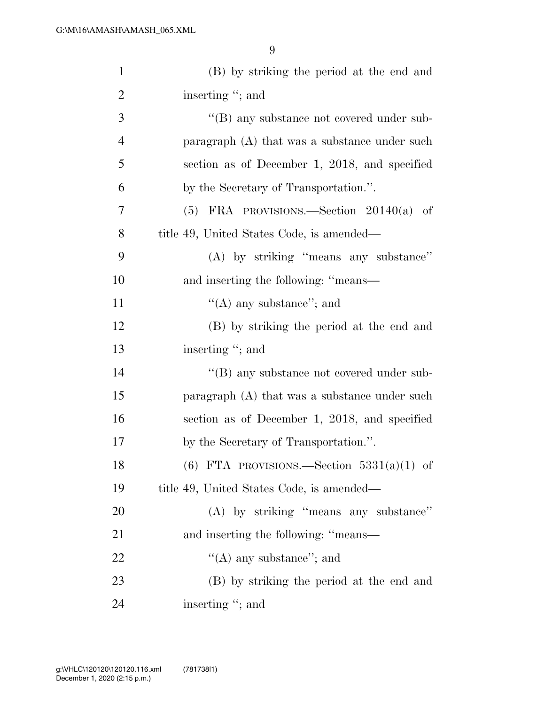| $\mathbf{1}$   | (B) by striking the period at the end and         |
|----------------|---------------------------------------------------|
| $\overline{2}$ | inserting "; and                                  |
| 3              | $\lq\lq (B)$ any substance not covered under sub- |
| $\overline{4}$ | paragraph (A) that was a substance under such     |
| 5              | section as of December 1, 2018, and specified     |
| 6              | by the Secretary of Transportation.".             |
| $\overline{7}$ | $(5)$ FRA PROVISIONS.—Section $20140(a)$ of       |
| 8              | title 49, United States Code, is amended—         |
| 9              | (A) by striking "means any substance"             |
| 10             | and inserting the following: "means—              |
| 11             | $\lq\lq$ (A) any substance"; and                  |
| 12             | (B) by striking the period at the end and         |
| 13             | inserting "; and                                  |
| 14             | $\lq\lq (B)$ any substance not covered under sub- |
| 15             | paragraph (A) that was a substance under such     |
| 16             | section as of December 1, 2018, and specified     |
| $17\,$         | by the Secretary of Transportation.".             |
| 18             | $(6)$ FTA PROVISIONS.—Section 5331(a)(1) of       |
| 19             | title 49, United States Code, is amended—         |
| 20             | (A) by striking "means any substance"             |
| 21             | and inserting the following: "means—              |
| 22             | "(A) any substance"; and                          |
| 23             | (B) by striking the period at the end and         |
| 24             | inserting "; and                                  |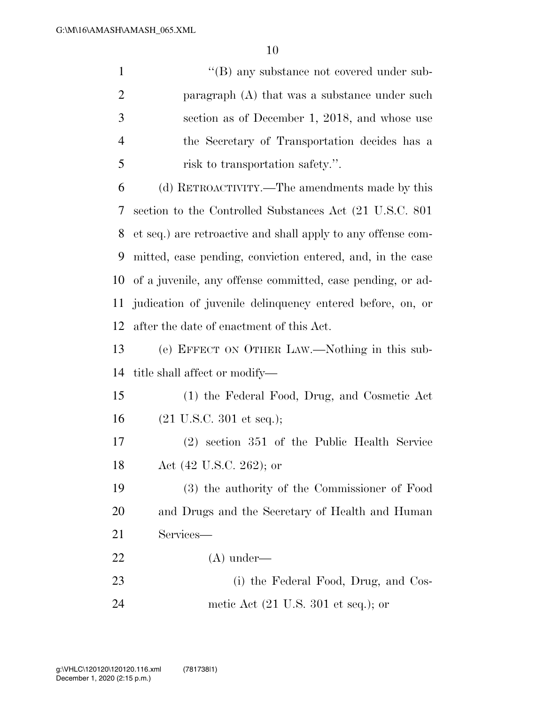|   | $\lq\lq$ (B) any substance not covered under sub- |
|---|---------------------------------------------------|
| 2 | paragraph $(A)$ that was a substance under such   |
|   | section as of December 1, 2018, and whose use     |
|   | the Secretary of Transportation decides has a     |
| 5 | risk to transportation safety.".                  |
|   |                                                   |

 (d) RETROACTIVITY.—The amendments made by this section to the Controlled Substances Act (21 U.S.C. 801 et seq.) are retroactive and shall apply to any offense com- mitted, case pending, conviction entered, and, in the case of a juvenile, any offense committed, case pending, or ad- judication of juvenile delinquency entered before, on, or after the date of enactment of this Act.

 (e) EFFECT ON OTHER LAW.—Nothing in this sub-title shall affect or modify—

 (1) the Federal Food, Drug, and Cosmetic Act (21 U.S.C. 301 et seq.);

 (2) section 351 of the Public Health Service Act (42 U.S.C. 262); or

 (3) the authority of the Commissioner of Food and Drugs and the Secretary of Health and Human Services—

(A) under—

23 (i) the Federal Food, Drug, and Cos-

metic Act (21 U.S. 301 et seq.); or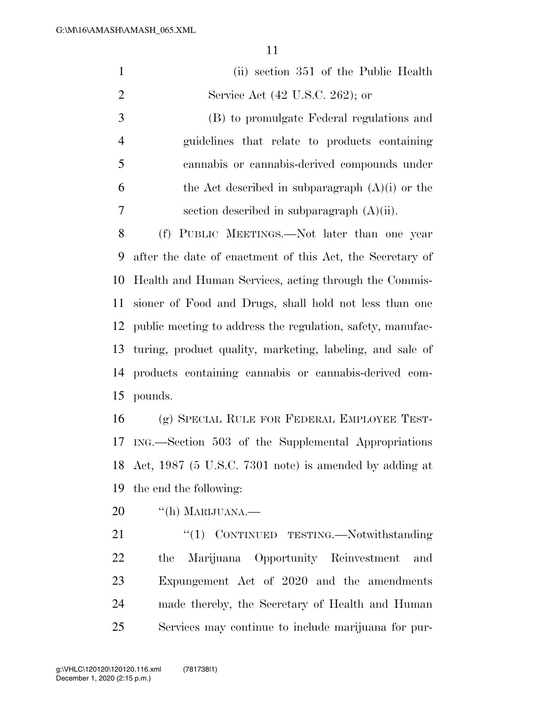|                | 11                                                         |
|----------------|------------------------------------------------------------|
| $\mathbf{1}$   | (ii) section 351 of the Public Health                      |
| $\overline{2}$ | Service Act (42 U.S.C. 262); or                            |
| $\mathfrak{Z}$ | (B) to promulgate Federal regulations and                  |
| $\overline{4}$ | guidelines that relate to products containing              |
| 5              | cannabis or cannabis-derived compounds under               |
| 6              | the Act described in subparagraph $(A)(i)$ or the          |
| 7              | section described in subparagraph $(A)(ii)$ .              |
| 8              | (f) PUBLIC MEETINGS.—Not later than one year               |
| 9              | after the date of enactment of this Act, the Secretary of  |
| 10             | Health and Human Services, acting through the Commis-      |
| 11             | sioner of Food and Drugs, shall hold not less than one     |
| 12             | public meeting to address the regulation, safety, manufac- |
| 13             | turing, product quality, marketing, labeling, and sale of  |
| 14             | products containing cannabis or cannabis-derived com-      |
| 15             | pounds.                                                    |
| 16             | (g) SPECIAL RULE FOR FEDERAL EMPLOYEE TEST-                |
| 17             | ING.—Section 503 of the Supplemental Appropriations        |
| 18             | Act, 1987 (5 U.S.C. 7301 note) is amended by adding at     |
| 19             | the end the following:                                     |
| 20             | "(h) MARIJUANA.—                                           |
| 21             | "(1) CONTINUED TESTING.—Notwithstanding                    |
| 22             | Marijuana Opportunity Reinvestment<br>the<br>and           |
|                |                                                            |

 Expungement Act of 2020 and the amendments made thereby, the Secretary of Health and Human Services may continue to include marijuana for pur-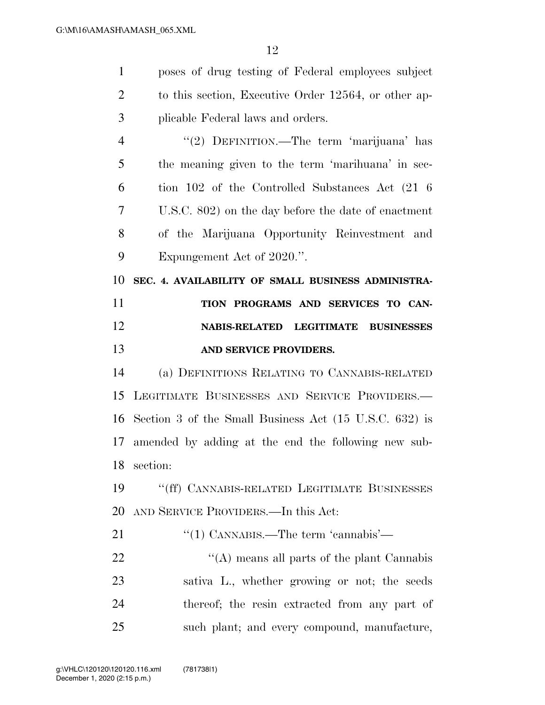| $\mathbf{1}$   | poses of drug testing of Federal employees subject     |
|----------------|--------------------------------------------------------|
| $\overline{2}$ | to this section, Executive Order 12564, or other ap-   |
| 3              | plicable Federal laws and orders.                      |
| $\overline{4}$ | "(2) DEFINITION.—The term 'marijuana' has              |
| 5              | the meaning given to the term 'marihuana' in sec-      |
| 6              | tion 102 of the Controlled Substances Act (21 6)       |
| 7              | U.S.C. 802) on the day before the date of enactment    |
| 8              | of the Marijuana Opportunity Reinvestment and          |
| 9              | Expungement Act of 2020.".                             |
| 10             | SEC. 4. AVAILABILITY OF SMALL BUSINESS ADMINISTRA-     |
| 11             | TION PROGRAMS AND SERVICES TO CAN-                     |
| 12             | <b>NABIS-RELATED</b><br><b>LEGITIMATE BUSINESSES</b>   |
| 13             | AND SERVICE PROVIDERS.                                 |
| 14             | (a) DEFINITIONS RELATING TO CANNABIS-RELATED           |
| 15             | LEGITIMATE BUSINESSES AND SERVICE PROVIDERS.           |
| 16             |                                                        |
|                | Section 3 of the Small Business Act (15 U.S.C. 632) is |
| 17             | amended by adding at the end the following new sub-    |
| 18             | section:                                               |
| 19             | "(ff) CANNABIS-RELATED LEGITIMATE BUSINESSES           |
| 20             | AND SERVICE PROVIDERS.—In this Act:                    |
| 21             | "(1) CANNABIS.—The term 'cannabis'—                    |
| 22             | "(A) means all parts of the plant Cannabis             |
| 23             | sativa L., whether growing or not; the seeds           |
| 24             | thereof; the resin extracted from any part of          |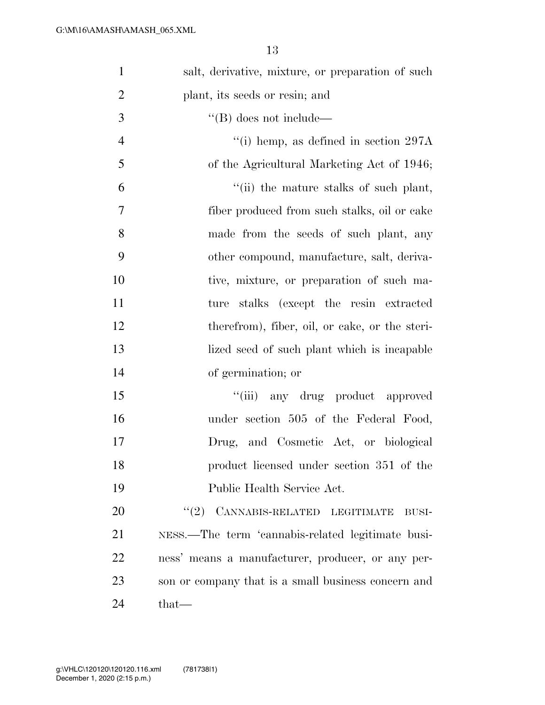| $\mathbf{1}$   | salt, derivative, mixture, or preparation of such   |
|----------------|-----------------------------------------------------|
| $\overline{2}$ | plant, its seeds or resin; and                      |
| 3              | $\lq\lq$ (B) does not include—                      |
| $\overline{4}$ | "(i) hemp, as defined in section $297A$             |
| 5              | of the Agricultural Marketing Act of 1946;          |
| 6              | "(ii) the mature stalks of such plant,              |
| $\tau$         | fiber produced from such stalks, oil or cake        |
| 8              | made from the seeds of such plant, any              |
| 9              | other compound, manufacture, salt, deriva-          |
| 10             | tive, mixture, or preparation of such ma-           |
| 11             | stalks (except the resin extracted<br>ture          |
| 12             | therefrom), fiber, oil, or cake, or the steri-      |
| 13             | lized seed of such plant which is incapable         |
| 14             | of germination; or                                  |
| 15             | "(iii) any drug product approved                    |
| 16             | under section 505 of the Federal Food,              |
| 17             | Drug, and Cosmetic Act, or biological               |
| 18             | product licensed under section 351 of the           |
| 19             | Public Health Service Act.                          |
| 20             | $(2)$ CANNABIS-RELATED LEGITIMATE<br>$BUSI-$        |
| 21             | NESS.—The term 'cannabis-related legitimate busi-   |
| 22             | ness' means a manufacturer, producer, or any per-   |
| 23             | son or company that is a small business concern and |
| 24             | that—                                               |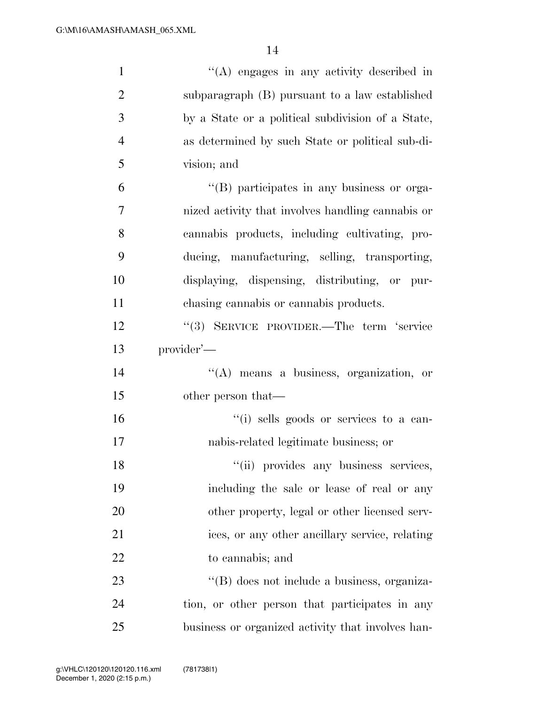| $\mathbf{1}$   | "(A) engages in any activity described in         |
|----------------|---------------------------------------------------|
| $\overline{2}$ | subparagraph (B) pursuant to a law established    |
| 3              | by a State or a political subdivision of a State, |
| $\overline{4}$ | as determined by such State or political sub-di-  |
| 5              | vision; and                                       |
| 6              | "(B) participates in any business or orga-        |
| 7              | nized activity that involves handling cannabis or |
| 8              | cannabis products, including cultivating, pro-    |
| 9              | ducing, manufacturing, selling, transporting,     |
| 10             | displaying, dispensing, distributing, or pur-     |
| 11             | chasing cannabis or cannabis products.            |
| 12             | "(3) SERVICE PROVIDER.—The term 'service          |
| 13             | provider'—                                        |
| 14             | $\lq\lq$ means a business, organization, or       |
| 15             | other person that—                                |
| 16             | "(i) sells goods or services to a can-            |
| 17             | nabis-related legitimate business; or             |
| 18             | "(ii) provides any business services,             |
| 19             | including the sale or lease of real or any        |
| 20             | other property, legal or other licensed serv-     |
| 21             | ices, or any other ancillary service, relating    |
| 22             | to cannabis; and                                  |
| 23             | "(B) does not include a business, organiza-       |
| 24             | tion, or other person that participates in any    |
| 25             | business or organized activity that involves han- |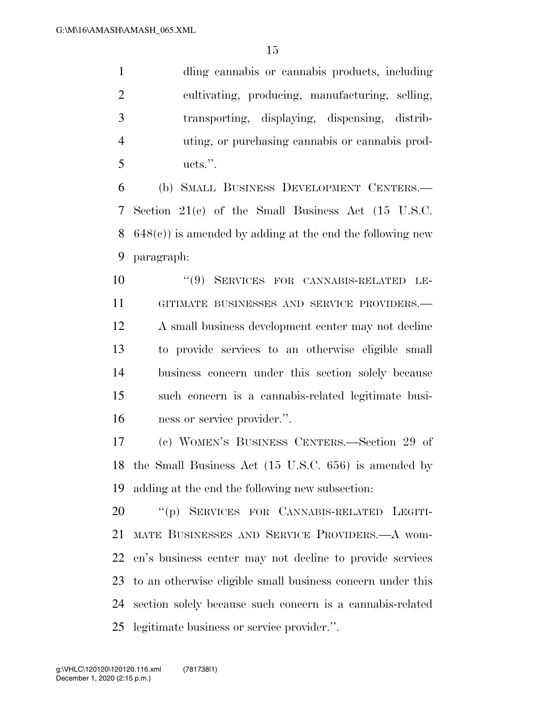dling cannabis or cannabis products, including cultivating, producing, manufacturing, selling, transporting, displaying, dispensing, distrib- uting, or purchasing cannabis or cannabis prod-ucts.''.

 (b) SMALL BUSINESS DEVELOPMENT CENTERS.— Section 21(c) of the Small Business Act (15 U.S.C. 648(c)) is amended by adding at the end the following new paragraph:

 ''(9) SERVICES FOR CANNABIS-RELATED LE- GITIMATE BUSINESSES AND SERVICE PROVIDERS.— A small business development center may not decline to provide services to an otherwise eligible small business concern under this section solely because such concern is a cannabis-related legitimate busi-ness or service provider.''.

 (c) WOMEN'S BUSINESS CENTERS.—Section 29 of the Small Business Act (15 U.S.C. 656) is amended by adding at the end the following new subsection:

 ''(p) SERVICES FOR CANNABIS-RELATED LEGITI- MATE BUSINESSES AND SERVICE PROVIDERS.—A wom- en's business center may not decline to provide services to an otherwise eligible small business concern under this section solely because such concern is a cannabis-related legitimate business or service provider.''.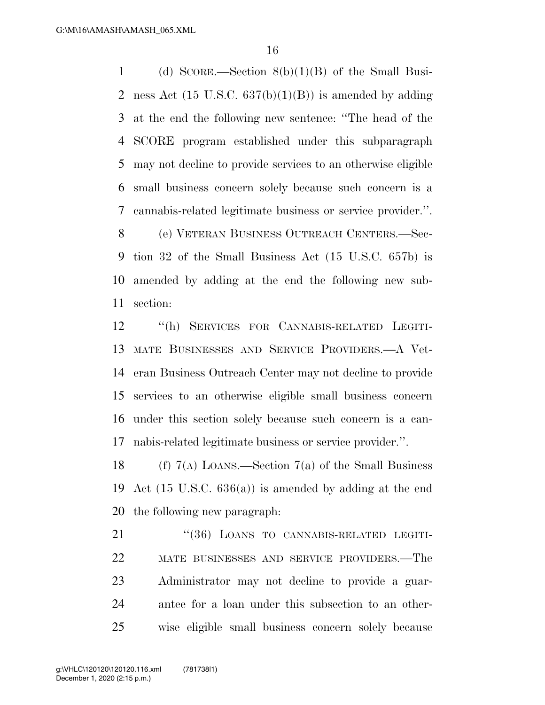(d) SCORE.—Section 8(b)(1)(B) of the Small Busi-2 ness Act  $(15 \text{ U.S.C. } 637(b)(1)(B))$  is amended by adding at the end the following new sentence: ''The head of the SCORE program established under this subparagraph may not decline to provide services to an otherwise eligible small business concern solely because such concern is a cannabis-related legitimate business or service provider.''.

 (e) VETERAN BUSINESS OUTREACH CENTERS.—Sec- tion 32 of the Small Business Act (15 U.S.C. 657b) is amended by adding at the end the following new sub-section:

 ''(h) SERVICES FOR CANNABIS-RELATED LEGITI- MATE BUSINESSES AND SERVICE PROVIDERS.—A Vet- eran Business Outreach Center may not decline to provide services to an otherwise eligible small business concern under this section solely because such concern is a can-nabis-related legitimate business or service provider.''.

18 (f)  $7(A)$  LOANS.—Section  $7(a)$  of the Small Business Act (15 U.S.C. 636(a)) is amended by adding at the end the following new paragraph:

21 "(36) LOANS TO CANNABIS-RELATED LEGITI- MATE BUSINESSES AND SERVICE PROVIDERS.—The Administrator may not decline to provide a guar- antee for a loan under this subsection to an other-wise eligible small business concern solely because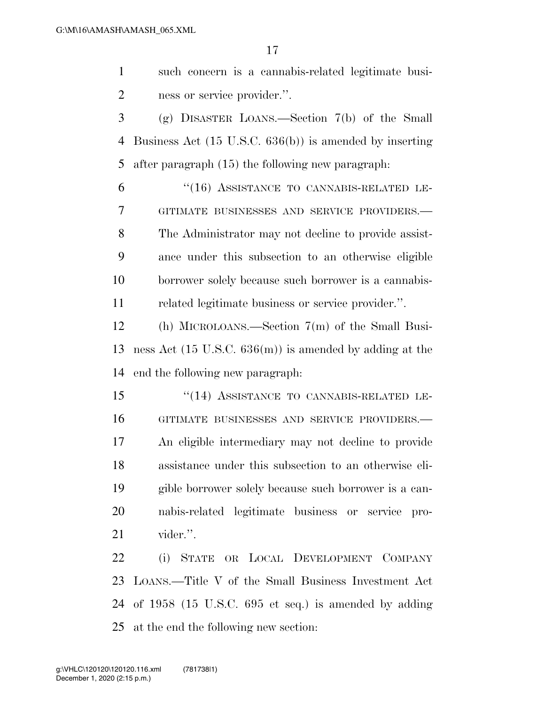such concern is a cannabis-related legitimate busi-ness or service provider.''.

 (g) DISASTER LOANS.—Section 7(b) of the Small Business Act (15 U.S.C. 636(b)) is amended by inserting after paragraph (15) the following new paragraph:

6 "(16) ASSISTANCE TO CANNABIS-RELATED LE- GITIMATE BUSINESSES AND SERVICE PROVIDERS.— The Administrator may not decline to provide assist- ance under this subsection to an otherwise eligible borrower solely because such borrower is a cannabis-related legitimate business or service provider.''.

 (h) MICROLOANS.—Section 7(m) of the Small Busi- ness Act (15 U.S.C. 636(m)) is amended by adding at the end the following new paragraph:

 ''(14) ASSISTANCE TO CANNABIS-RELATED LE- GITIMATE BUSINESSES AND SERVICE PROVIDERS.— An eligible intermediary may not decline to provide assistance under this subsection to an otherwise eli- gible borrower solely because such borrower is a can- nabis-related legitimate business or service pro-vider.''.

 (i) STATE OR LOCAL DEVELOPMENT COMPANY LOANS.—Title V of the Small Business Investment Act of 1958 (15 U.S.C. 695 et seq.) is amended by adding at the end the following new section: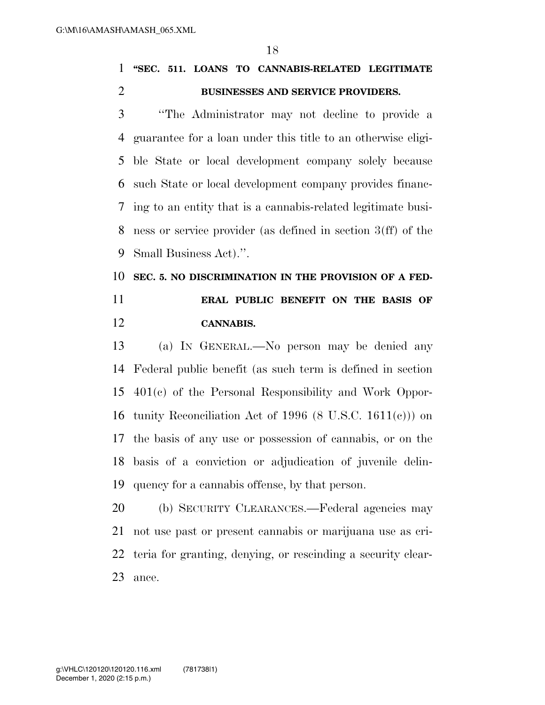## **''SEC. 511. LOANS TO CANNABIS-RELATED LEGITIMATE BUSINESSES AND SERVICE PROVIDERS.**

 ''The Administrator may not decline to provide a guarantee for a loan under this title to an otherwise eligi- ble State or local development company solely because such State or local development company provides financ- ing to an entity that is a cannabis-related legitimate busi- ness or service provider (as defined in section 3(ff) of the Small Business Act).''.

## **SEC. 5. NO DISCRIMINATION IN THE PROVISION OF A FED- ERAL PUBLIC BENEFIT ON THE BASIS OF CANNABIS.**

 (a) IN GENERAL.—No person may be denied any Federal public benefit (as such term is defined in section 401(c) of the Personal Responsibility and Work Oppor-16 tunity Reconciliation Act of 1996  $(8 \text{ U.S.C. } 1611(c))$  on the basis of any use or possession of cannabis, or on the basis of a conviction or adjudication of juvenile delin-quency for a cannabis offense, by that person.

 (b) SECURITY CLEARANCES.—Federal agencies may not use past or present cannabis or marijuana use as cri- teria for granting, denying, or rescinding a security clear-ance.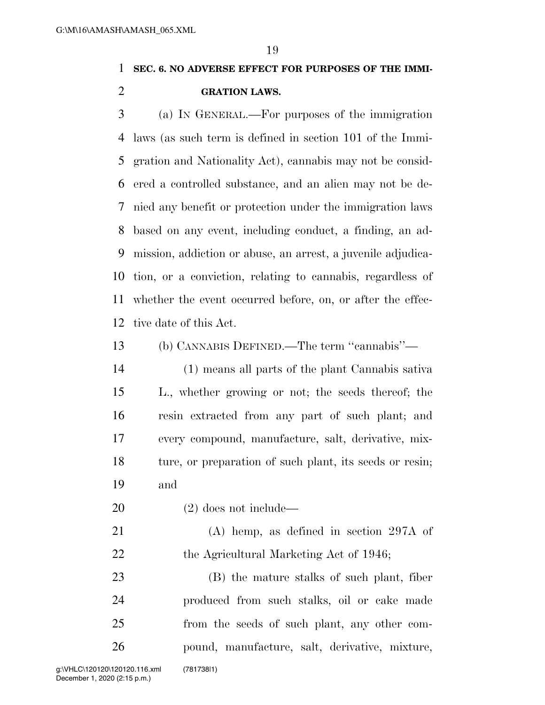# **SEC. 6. NO ADVERSE EFFECT FOR PURPOSES OF THE IMMI-**

#### **GRATION LAWS.**

 (a) IN GENERAL.—For purposes of the immigration laws (as such term is defined in section 101 of the Immi- gration and Nationality Act), cannabis may not be consid- ered a controlled substance, and an alien may not be de- nied any benefit or protection under the immigration laws based on any event, including conduct, a finding, an ad- mission, addiction or abuse, an arrest, a juvenile adjudica- tion, or a conviction, relating to cannabis, regardless of whether the event occurred before, on, or after the effec-tive date of this Act.

(b) CANNABIS DEFINED.—The term ''cannabis''—

 (1) means all parts of the plant Cannabis sativa L., whether growing or not; the seeds thereof; the resin extracted from any part of such plant; and every compound, manufacture, salt, derivative, mix- ture, or preparation of such plant, its seeds or resin; and

(2) does not include—

 (A) hemp, as defined in section 297A of 22 the Agricultural Marketing Act of 1946;

 (B) the mature stalks of such plant, fiber produced from such stalks, oil or cake made from the seeds of such plant, any other com-pound, manufacture, salt, derivative, mixture,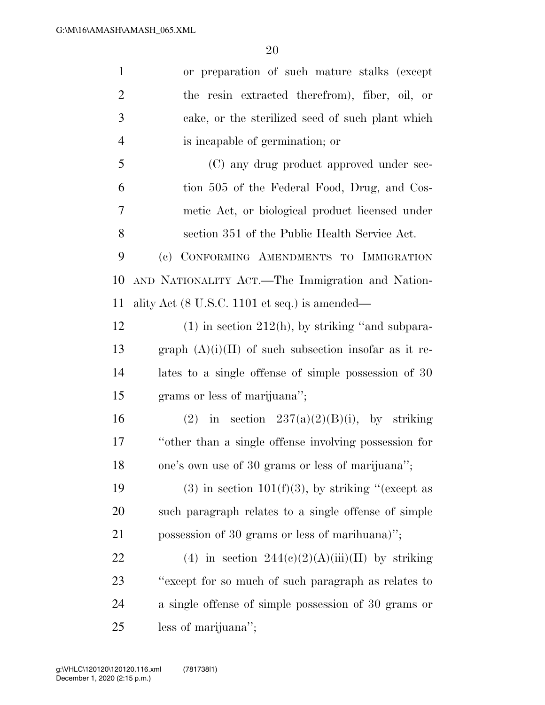| $\mathbf{1}$   | or preparation of such mature stalks (except                     |
|----------------|------------------------------------------------------------------|
| $\overline{2}$ | the resin extracted therefrom), fiber, oil, or                   |
| 3              | cake, or the sterilized seed of such plant which                 |
| $\overline{4}$ | is incapable of germination; or                                  |
| 5              | (C) any drug product approved under sec-                         |
| 6              | tion 505 of the Federal Food, Drug, and Cos-                     |
| 7              | metic Act, or biological product licensed under                  |
| 8              | section 351 of the Public Health Service Act.                    |
| 9              | (c) CONFORMING AMENDMENTS TO IMMIGRATION                         |
| 10             | AND NATIONALITY ACT.—The Immigration and Nation-                 |
| 11             | ality Act $(8 \text{ U.S.C. } 1101 \text{ et seq.})$ is amended— |
| 12             | $(1)$ in section 212(h), by striking "and subpara-               |
| 13             | graph $(A)(i)(II)$ of such subsection insofar as it re-          |
| 14             | lates to a single offense of simple possession of 30             |
| 15             | grams or less of marijuana";                                     |
| 16             | (2) in section $237(a)(2)(B)(i)$ , by striking                   |
| 17             | "other than a single offense involving possession for            |
| 18             | one's own use of 30 grams or less of marijuana";                 |
| 19             | $(3)$ in section 101(f)(3), by striking "(except as              |
| 20             | such paragraph relates to a single offense of simple             |
| 21             | possession of 30 grams or less of marihuana)";                   |
| 22             | (4) in section $244(e)(2)(A)(iii)(II)$ by striking               |
| 23             | "except for so much of such paragraph as relates to              |
| 24             | a single offense of simple possession of 30 grams or             |
| 25             | less of marijuana";                                              |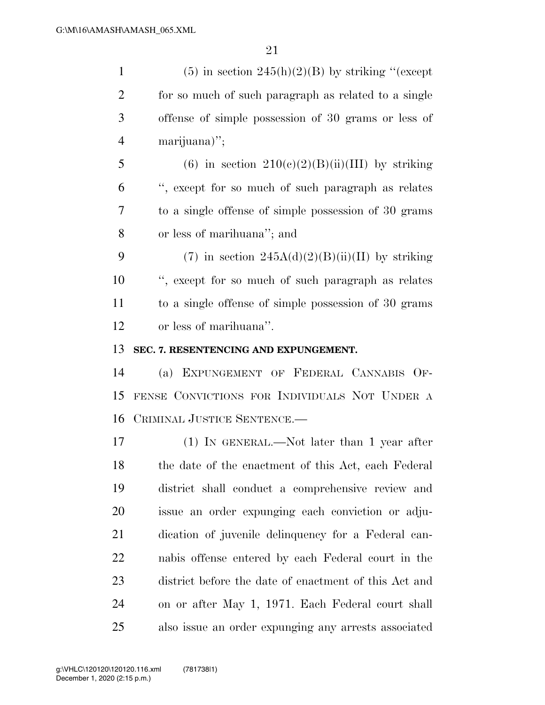| $\mathbf{1}$   | $(5)$ in section 245(h)(2)(B) by striking "(except    |
|----------------|-------------------------------------------------------|
| $\overline{c}$ | for so much of such paragraph as related to a single  |
| 3              | offense of simple possession of 30 grams or less of   |
| $\overline{4}$ | marijuana)";                                          |
| 5              | (6) in section $210(c)(2)(B)(ii)(III)$ by striking    |
| 6              | ", except for so much of such paragraph as relates    |
| 7              | to a single offense of simple possession of 30 grams  |
| 8              | or less of marihuana"; and                            |
| 9              | (7) in section $245A(d)(2)(B(iii))$ by striking       |
| 10             | ", except for so much of such paragraph as relates    |
| 11             | to a single offense of simple possession of 30 grams  |
| 12             | or less of marihuana".                                |
| 13             | SEC. 7. RESENTENCING AND EXPUNGEMENT.                 |
| 14             | (a) EXPUNGEMENT OF FEDERAL CANNABIS OF-               |
| 15             | FENSE CONVICTIONS FOR INDIVIDUALS NOT UNDER A         |
| 16             | CRIMINAL JUSTICE SENTENCE.                            |
| 17             | $(1)$ IN GENERAL.—Not later than 1 year after         |
| 18             | the date of the enactment of this Act, each Federal   |
| 19             | district shall conduct a comprehensive review and     |
| 20             | issue an order expunging each conviction or adju-     |
| 21             | dication of juvenile delinquency for a Federal can-   |
| 22             | nabis offense entered by each Federal court in the    |
| 23             | district before the date of enactment of this Act and |
| 24             | on or after May 1, 1971. Each Federal court shall     |
| 25             | also issue an order expunging any arrests associated  |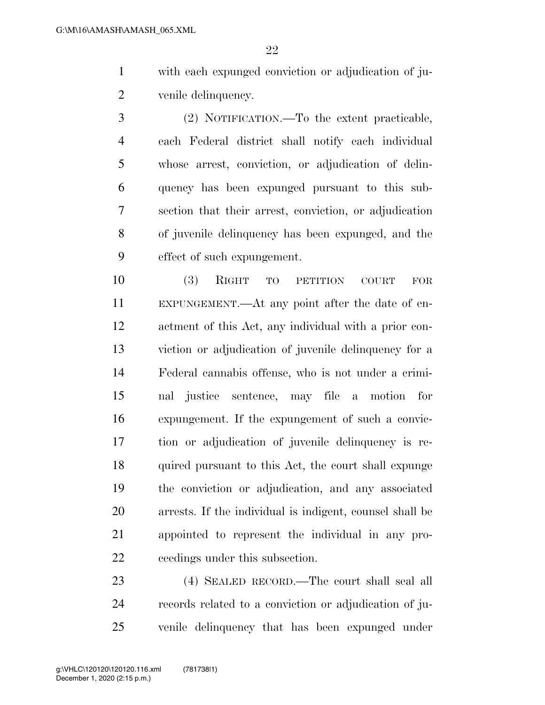with each expunged conviction or adjudication of ju-venile delinquency.

 (2) NOTIFICATION.—To the extent practicable, each Federal district shall notify each individual whose arrest, conviction, or adjudication of delin- quency has been expunged pursuant to this sub- section that their arrest, conviction, or adjudication of juvenile delinquency has been expunged, and the effect of such expungement.

 (3) RIGHT TO PETITION COURT FOR EXPUNGEMENT.—At any point after the date of en- actment of this Act, any individual with a prior con- viction or adjudication of juvenile delinquency for a Federal cannabis offense, who is not under a crimi- nal justice sentence, may file a motion for expungement. If the expungement of such a convic- tion or adjudication of juvenile delinquency is re- quired pursuant to this Act, the court shall expunge the conviction or adjudication, and any associated arrests. If the individual is indigent, counsel shall be appointed to represent the individual in any pro-ceedings under this subsection.

 (4) SEALED RECORD.—The court shall seal all records related to a conviction or adjudication of ju-venile delinquency that has been expunged under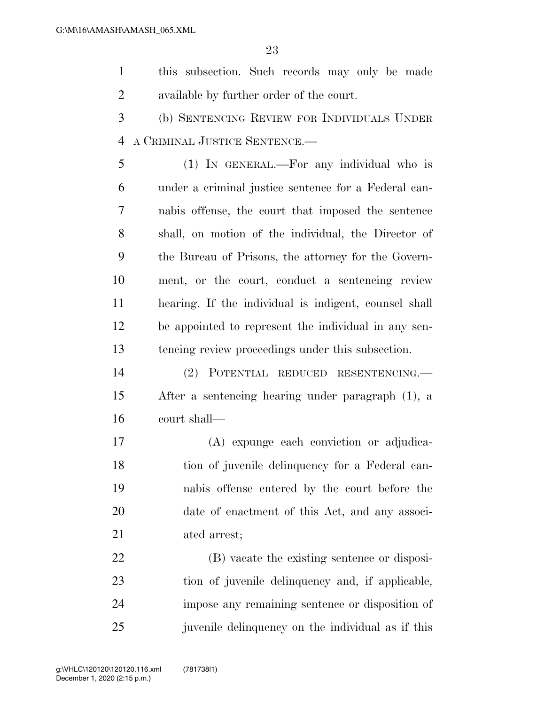this subsection. Such records may only be made available by further order of the court.

 (b) SENTENCING REVIEW FOR INDIVIDUALS UNDER A CRIMINAL JUSTICE SENTENCE.—

 (1) IN GENERAL.—For any individual who is under a criminal justice sentence for a Federal can- nabis offense, the court that imposed the sentence shall, on motion of the individual, the Director of the Bureau of Prisons, the attorney for the Govern- ment, or the court, conduct a sentencing review hearing. If the individual is indigent, counsel shall be appointed to represent the individual in any sen-tencing review proceedings under this subsection.

 (2) POTENTIAL REDUCED RESENTENCING.— After a sentencing hearing under paragraph (1), a court shall—

 (A) expunge each conviction or adjudica- tion of juvenile delinquency for a Federal can- nabis offense entered by the court before the date of enactment of this Act, and any associ-ated arrest;

 (B) vacate the existing sentence or disposi- tion of juvenile delinquency and, if applicable, impose any remaining sentence or disposition of 25 iuven ille delinquency on the individual as if this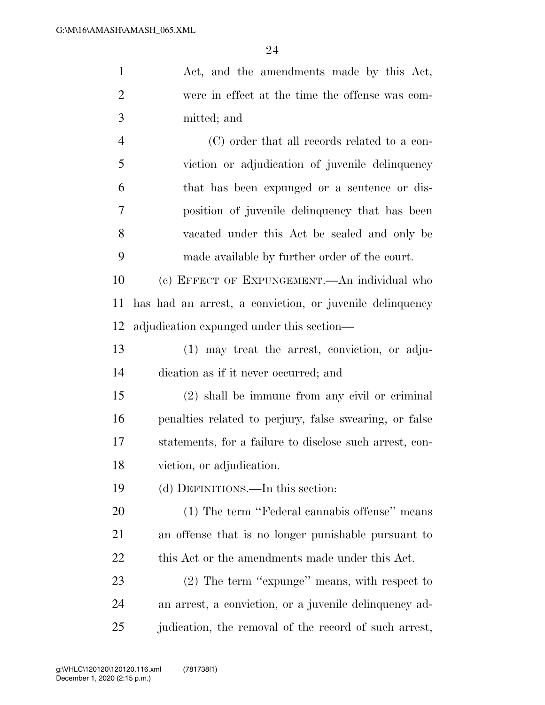| $\mathbf{1}$   | Act, and the amendments made by this Act,                |
|----------------|----------------------------------------------------------|
| $\overline{2}$ | were in effect at the time the offense was com-          |
| 3              | mitted; and                                              |
| 4              | (C) order that all records related to a con-             |
| 5              | viction or adjudication of juvenile delinquency          |
| 6              | that has been expunged or a sentence or dis-             |
| 7              | position of juvenile delinquency that has been           |
| 8              | vacated under this Act be sealed and only be             |
| 9              | made available by further order of the court.            |
| 10             | (c) EFFECT OF EXPUNGEMENT.—An individual who             |
| 11             | has had an arrest, a conviction, or juvenile delinquency |
| 12             | adjudication expunged under this section—                |
| 13             | (1) may treat the arrest, conviction, or adju-           |
| 14             | dication as if it never occurred; and                    |
| 15             | (2) shall be immune from any civil or criminal           |
| 16             | penalties related to perjury, false swearing, or false   |
| 17             | statements, for a failure to disclose such arrest, con-  |
| 18             | viction, or adjudication.                                |
| 19             | (d) DEFINITIONS.—In this section:                        |
| 20             | (1) The term "Federal cannabis offense" means            |
| 21             | an offense that is no longer punishable pursuant to      |
| 22             | this Act or the amendments made under this Act.          |
| 23             | (2) The term "expunge" means, with respect to            |
| 24             | an arrest, a conviction, or a juvenile delinquency ad-   |
| 25             | judication, the removal of the record of such arrest,    |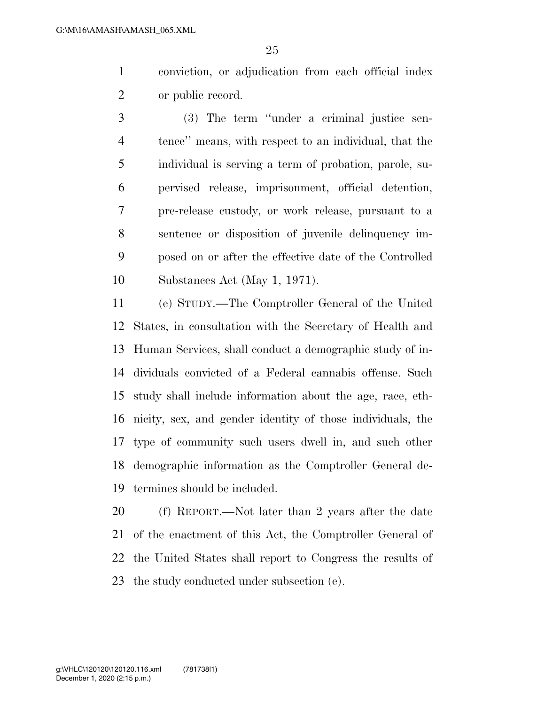conviction, or adjudication from each official index or public record.

 (3) The term ''under a criminal justice sen- tence'' means, with respect to an individual, that the individual is serving a term of probation, parole, su- pervised release, imprisonment, official detention, pre-release custody, or work release, pursuant to a sentence or disposition of juvenile delinquency im- posed on or after the effective date of the Controlled Substances Act (May 1, 1971).

 (e) STUDY.—The Comptroller General of the United States, in consultation with the Secretary of Health and Human Services, shall conduct a demographic study of in- dividuals convicted of a Federal cannabis offense. Such study shall include information about the age, race, eth- nicity, sex, and gender identity of those individuals, the type of community such users dwell in, and such other demographic information as the Comptroller General de-termines should be included.

 (f) REPORT.—Not later than 2 years after the date of the enactment of this Act, the Comptroller General of the United States shall report to Congress the results of the study conducted under subsection (e).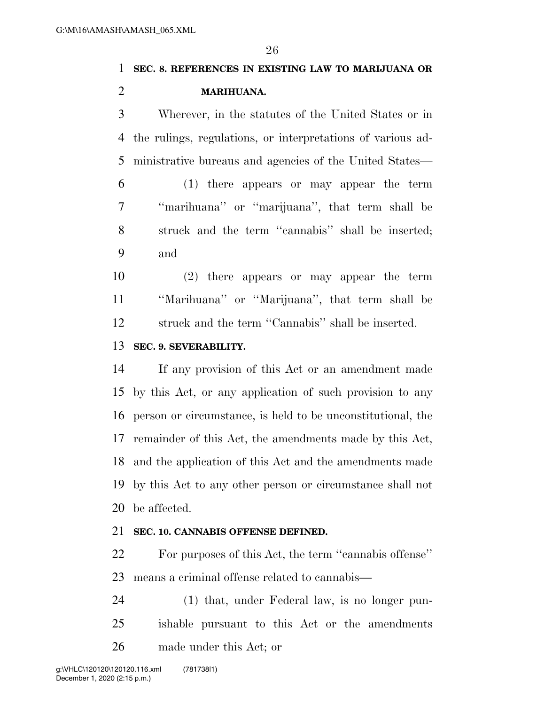## **SEC. 8. REFERENCES IN EXISTING LAW TO MARIJUANA OR MARIHUANA.**

 Wherever, in the statutes of the United States or in the rulings, regulations, or interpretations of various ad-ministrative bureaus and agencies of the United States—

 (1) there appears or may appear the term ''marihuana'' or ''marijuana'', that term shall be struck and the term ''cannabis'' shall be inserted; and

 (2) there appears or may appear the term ''Marihuana'' or ''Marijuana'', that term shall be struck and the term ''Cannabis'' shall be inserted.

#### **SEC. 9. SEVERABILITY.**

 If any provision of this Act or an amendment made by this Act, or any application of such provision to any person or circumstance, is held to be unconstitutional, the remainder of this Act, the amendments made by this Act, and the application of this Act and the amendments made by this Act to any other person or circumstance shall not be affected.

#### **SEC. 10. CANNABIS OFFENSE DEFINED.**

 For purposes of this Act, the term ''cannabis offense'' means a criminal offense related to cannabis—

 (1) that, under Federal law, is no longer pun- ishable pursuant to this Act or the amendments made under this Act; or